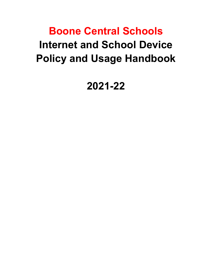# **Boone Central Schools Internet and School Device Policy and Usage Handbook**

**2021-22**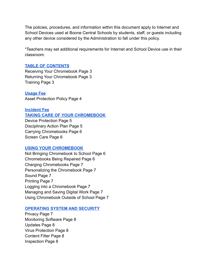The policies, procedures, and information within this document apply to Internet and School Devices used at Boone Central Schools by students, staff, or guests including any other device considered by the Administration to fall under this policy.

\*Teachers may set additional requirements for Internet and School Device use in their classroom.

#### **[TABLE OF CONTENTS](#page-3-0)**

Receiving Your Chromebook Page 3 Returning Your Chromebook Page 3 Training Page 3

**[Usage Fee](#page-4-0)** Asset Protection Policy Page 4

### **[Incident Fee](#page-4-1)**

#### **[TAKING CARE OF YOUR CHROMEBOOK](#page-5-0)**

Device Protection Page 5 Disciplinary Action Plan Page 5 Carrying Chromebooks Page 6 Screen Care Page 6

#### **[USING YOUR CHROMEBOOK](#page-7-0)**

Not Bringing Chromebook to School Page 6 Chromebooks Being Repaired Page 6 Charging Chromebooks Page 7 Personalizing the Chromebook Page 7 Sound Page 7 Printing Page 7 Logging into a Chromebook Page 7 Managing and Saving Digital Work Page 7 Using Chromebook Outside of School Page 7

#### **[OPERATING SYSTEM AND SECURITY](#page-9-0)**

Privacy Page 7 Monitoring Software Page 8 Updates Page 8 Virus Protection Page 8 Content Filter Page 8 Inspection Page 8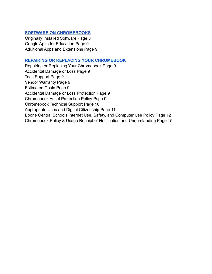# **[SOFTWARE ON CHROMEBOOKS](#page-10-0)**

Originally Installed Software Page 8 Google Apps for Education Page 9 Additional Apps and Extensions Page 9

#### **[REPAIRING OR REPLACING YOUR CHROMEBOOK](#page-11-0)**

Repairing or Replacing Your Chromebook Page 9 Accidental Damage or Loss Page 9 Tech Support Page 9 Vendor Warranty Page 9 Estimated Costs Page 9 Accidental Damage or Loss Protection Page 9 Chromebook Asset Protection Policy Page 9 Chromebook Technical Support Page 10 Appropriate Uses and Digital Citizenship Page 11 Boone Central Schools Internet Use, Safety, and Computer Use Policy Page 12 Chromebook Policy & Usage Receipt of Notification and Understanding Page 15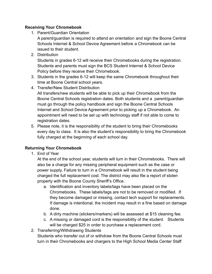# <span id="page-3-0"></span>**Receiving Your Chromebook**

1. Parent/Guardian Orientation

A parent/guardian is required to attend an orientation and sign the Boone Central Schools Internet & School Device Agreement before a Chromebook can be issued to their student.

2. Distribution

Students in grades 6-12 will receive their Chromebooks during the registration. Students and parents must sign the BCS Student Internet & School Device Policy before they receive their Chromebook.

- 3. Students in the grades 6-12 will keep the same Chromebook throughout their time at Boone Central school years.
- 4. Transfer/New Student Distribution

All transfers/new students will be able to pick up their Chromebook from the Boone Central Schools registration dates. Both students and a parent/guardian must go through the policy handbook and sign the Boone Central Schools Internet and School Device Agreement prior to picking up a Chromebook. An appointment will need to be set up with technology staff if not able to come to registration dates.

5. Please note, it is the responsibility of the student to bring their Chromebooks every day to class. It is also the student's responsibility to bring the Chromebook fully charged at the beginning of each school day.

# **Returning Your Chromebook**

1. End of Year

At the end of the school year, students will turn in their Chromebooks. There will also be a charge for any missing peripheral equipment such as the case or power supply. Failure to turn in a Chromebook will result in the student being charged the full replacement cost. The district may also file a report of stolen property with the Boone County Sheriff's Office.

- a. Identification and inventory labels/tags have been placed on the Chromebooks. These labels/tags are not to be removed or modified. If they become damaged or missing, contact tech support for replacements. If damage is intentional, the incident may result in a fine based on damage done.
- b. A dirty machine (stickers/markers) will be assessed at \$15 cleaning fee.
- c. A missing or damaged cord is the responsibility of the student. Students will be charged \$25 in order to purchase a replacement cord.
- 2. Transferring/Withdrawing Students Students who transfer out of or withdraw from the Boone Central Schools must turn in their Chromebooks and chargers to the High School Media Center Staff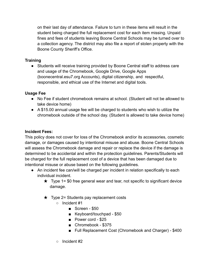on their last day of attendance. Failure to turn in these items will result in the student being charged the full replacement cost for each item missing. Unpaid fines and fees of students leaving Boone Central Schools may be turned over to a collection agency. The district may also file a report of stolen property with the Boone County Sheriff's Office.

# **Training**

● Students will receive training provided by Boone Central staff to address care and usage of the Chromebook, Google Drive, Google Apps (boonecentral.esu7.org Accounts), digital citizenship, and respectful, responsible, and ethical use of the Internet and digital tools.

# <span id="page-4-0"></span>**Usage Fee**

- No Fee if student chromebook remains at school. (Student will not be allowed to take device home)
- A \$15.00 annual usage fee will be charged to students who wish to utilize the chromebook outside of the school day. (Student is allowed to take device home)

# <span id="page-4-1"></span>**Incident Fees:**

This policy does not cover for loss of the Chromebook and/or its accessories, cosmetic damage, or damages caused by intentional misuse and abuse. Boone Central Schools will assess the Chromebook damage and repair or replace the device if the damage is determined to be accidental and within the protection guidelines. Parents/Students will be charged for the full replacement cost of a device that has been damaged due to intentional misuse or abuse based on the following guidelines.

- An incident fee can/will be charged per incident in relation specifically to each individual incident.
	- $\star$  Type 1= \$0 free general wear and tear, not specific to significant device damage.
	- $\star$  Type 2= Students pay replacement costs
		- Incident #1
			- Screen \$50
			- Keyboard/touchpad \$50
			- Power cord \$25
			- Chromebook \$375
			- Full Replacement Cost (Chromebook and Charger) \$400
		- Incident #2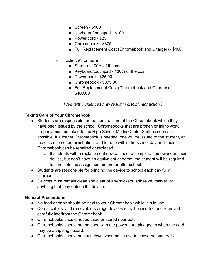- Screen \$100
- Keyboard/touchpad \$100
- Power cord \$25
- Chromebook \$375
- Full Replacement Cost (Chromebook and Charger) \$400
- Incident #3 or more
	- Screen 100% of the cost
	- Keyboard/touchpad 100% of the cost
	- Power cord \$25.00
	- Chromebook \$375.00
	- Full Replacement Cost (Chromebook and Charger) -\$400.00

*(Frequent incidences may result in disciplinary action.)*

### <span id="page-5-0"></span>**Taking Care of Your Chromebook**

- Students are responsible for the general care of the Chromebook which they have been issued by the school. Chromebooks that are broken or fail to work properly must be taken to the High School Media Center Staff as soon as possible. If a loaner Chromebook is needed, one will be issued to the student, at the discretion of administration, and for use within the school day until their Chromebook can be repaired or replaced.
	- $\circ$  If students with a replacement device need to complete homework on their device, but don't have an equivalent at home, the student will be required to complete the assignment before or after school.
- Students are responsible for bringing the device to school each day fully charged.
- Devices must remain clean and clear of any stickers, adhesive, marker, or anything that may deface the device.

### **General Precautions**

- No food or drink should be next to your Chromebook while it is in use.
- Cords, cables, and removable storage devices must be inserted and removed carefully into/from the Chromebook.
- Chromebooks should not be used or stored near pets.
- Chromebooks should not be used with the power cord plugged in when the cord may be a tripping hazard.
- Chromebooks should be shut down when not in use to conserve battery life.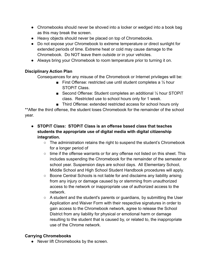- Chromebooks should never be shoved into a locker or wedged into a book bag as this may break the screen.
- Heavy objects should never be placed on top of Chromebooks.
- Do not expose your Chromebook to extreme temperature or direct sunlight for extended periods of time. Extreme heat or cold may cause damage to the Chromebook. Do NOT leave them outside or in your vehicles.
- Always bring your Chromebook to room temperature prior to turning it on.

# **Disciplinary Action Plan**

Consequences for any misuse of the Chromebook or Internet privileges will be:

- First Offense: restricted use until student completes a  $\frac{1}{2}$  hour STOPiT Class.
- Second Offense: Student completes an additional 1/2 hour STOPiT class. Restricted use to school hours only for 1 week.
- Third Offense: extended restricted access for school hours only

\*\*After the third offense, the student loses Chromebook for the remainder of the school year.

- **● STOPiT Class: STOPiT Class is an offense based class that teaches students the appropriate use of digital media with digital citizenship integration.**
	- The administration retains the right to suspend the student's Chromebook for a longer period of
	- time if the offense warrants or for any offense not listed on this sheet. This includes suspending the Chromebook for the remainder of the semester or school year. Suspension days are school days. All Elementary School, Middle School and High School Student Handbook procedures will apply.
	- Boone Central Schools is not liable for and disclaims any liability arising from any injury or damage caused by or stemming from unauthorized access to the network or inappropriate use of authorized access to the network.
	- A student and the student's parents or guardians, by submitting the User Application and Waiver Form with their respective signatures in order to gain access to the Chromebook network, agree to release the School District from any liability for physical or emotional harm or damage resulting to the student that is caused by, or related to, the inappropriate use of the Chrome network.

# **Carrying Chromebooks**

● Never lift Chromebooks by the screen.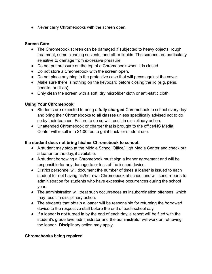● Never carry Chromebooks with the screen open.

## **Screen Care**

- The Chromebook screen can be damaged if subjected to heavy objects, rough treatment, some cleaning solvents, and other liquids. The screens are particularly sensitive to damage from excessive pressure.
- Do not put pressure on the top of a Chromebook when it is closed.
- Do not store a Chromebook with the screen open.
- Do not place anything in the protective case that will press against the cover.
- Make sure there is nothing on the keyboard before closing the lid (e.g. pens, pencils, or disks).
- Only clean the screen with a soft, dry microfiber cloth or anti-static cloth.

# <span id="page-7-0"></span>**Using Your Chromebook**

- Students are expected to bring a **fully charged** Chromebook to school every day and bring their Chromebooks to all classes unless specifically advised not to do so by their teacher. Failure to do so will result in disciplinary action.
- Unattended Chromebook or charger that is brought to the office/HS Media Center will result in a \$1.00 fee to get it back for student use.

# **If a student does not bring his/her Chromebook to school:**

- A student may stop at the Middle School Office/High Media Center and check out a loaner for the day, if available.
- A student borrowing a Chromebook must sign a loaner agreement and will be responsible for any damage to or loss of the issued device.
- District personnel will document the number of times a loaner is issued to each student for not having his/her own Chromebook at school and will send reports to administration for students who have excessive occurrences during the school year.
- The administration will treat such occurrences as insubordination offenses, which may result in disciplinary action.
- The students that obtain a loaner will be responsible for returning the borrowed device to the respective staff before the end of each school day.
- If a loaner is not turned in by the end of each day, a report will be filed with the student's grade level administrator and the administrator will work on retrieving the loaner. Disciplinary action may apply.

### **Chromebooks being repaired**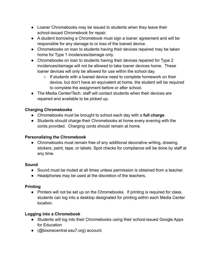- Loaner Chromebooks may be issued to students when they leave their school-issued Chromebook for repair.
- A student borrowing a Chromebook must sign a loaner agreement and will be responsible for any damage to or loss of the loaned device.
- Chromebooks on loan to students having their devices repaired may be taken home for Type 1 incidences/damage only.
- Chromebooks on loan to students having their devices repaired for Type 2 incidences/damage will not be allowed to take loaner devices home. These loaner devices will only be allowed for use within the school day.
	- If students with a loaned device need to complete homework on their device, but don't have an equivalent at home, the student will be required to complete the assignment before or after school.
- The Media Center/Tech. staff will contact students when their devices are repaired and available to be picked up.

# **Charging Chromebooks**

- Chromebooks must be brought to school each day with a **full charge**.
- Students should charge their Chromebooks at home every evening with the cords provided. Charging cords should remain at home.

# **Personalizing the Chromebook**

• Chromebooks must remain free of any additional decorative writing, drawing, stickers, paint, tape, or labels. Spot checks for compliance will be done by staff at any time.

# **Sound**

- Sound must be muted at all times unless permission is obtained from a teacher.
- Headphones may be used at the discretion of the teachers.

# **Printing**

● Printers will not be set up on the Chromebooks. If printing is required for class, students can log into a desktop designated for printing within each Media Center location.

# **Logging into a Chromebook**

- Students will log into their Chromebooks using their school-issued Google Apps for Education
- (@boonecentral.esu7.org) account.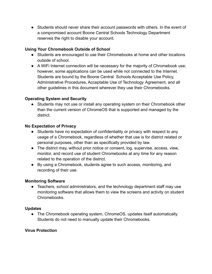● Students should never share their account passwords with others. In the event of a compromised account Boone Central Schools Technology Department reserves the right to disable your account.

# **Using Your Chromebook Outside of School**

- Students are encouraged to use their Chromebooks at home and other locations outside of school.
- A WiFi Internet connection will be necessary for the majority of Chromebook use; however, some applications can be used while not connected to the Internet. Students are bound by the Boone Central Schools Acceptable Use Policy, Administrative Procedures, Acceptable Use of Technology Agreement, and all other guidelines in this document wherever they use their Chromebooks.

# <span id="page-9-0"></span>**Operating System and Security**

• Students may not use or install any operating system on their Chromebook other than the current version of ChromeOS that is supported and managed by the district.

### **No Expectation of Privacy**

- Students have no expectation of confidentiality or privacy with respect to any usage of a Chromebook, regardless of whether that use is for district related or personal purposes, other than as specifically provided by law.
- The district may, without prior notice or consent, log, supervise, access, view, monitor, and record use of student Chromebooks at any time for any reason related to the operation of the district.
- By using a Chromebook, students agree to such access, monitoring, and recording of their use.

### **Monitoring Software**

• Teachers, school administrators, and the technology department staff may use monitoring software that allows them to view the screens and activity on student Chromebooks.

### **Updates**

• The Chromebook operating system, ChromeOS, updates itself automatically. Students do not need to manually update their Chromebooks.

### **Virus Protection**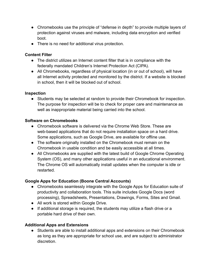- Chromebooks use the principle of "defense in depth" to provide multiple layers of protection against viruses and malware, including data encryption and verified boot.
- There is no need for additional virus protection.

# **Content Filter**

- The district utilizes an Internet content filter that is in compliance with the federally mandated Children's Internet Protection Act (CIPA).
- All Chromebooks, regardless of physical location (in or out of school), will have all Internet activity protected and monitored by the district. If a website is blocked in school, then it will be blocked out of school.

### **Inspection**

● Students may be selected at random to provide their Chromebook for inspection. The purpose for inspection will be to check for proper care and maintenance as well as inappropriate material being carried into the school.

# <span id="page-10-0"></span>**Software on Chromebooks**

- Chromebook software is delivered via the Chrome Web Store. These are web-based applications that do not require installation space on a hard drive. Some applications, such as Google Drive, are available for offline use.
- The software originally installed on the Chromebook must remain on the Chromebook in usable condition and be easily accessible at all times.
- All Chromebooks are supplied with the latest build of Google Chrome Operating System (OS), and many other applications useful in an educational environment. The Chrome OS will automatically install updates when the computer is idle or restarted.

# **Google Apps for Education (Boone Central Accounts)**

- Chromebooks seamlessly integrate with the Google Apps for Education suite of productivity and collaboration tools. This suite includes Google Docs (word processing), Spreadsheets, Presentations, Drawings, Forms, Sites and Gmail.
- All work is stored within Google Drive.
- If additional storage is required, the students may utilize a flash drive or a portable hard drive of their own.

# **Additional Apps and Extensions**

● Students are able to install additional apps and extensions on their Chromebook as long as they are appropriate for school use, and are subject to administrator discretion.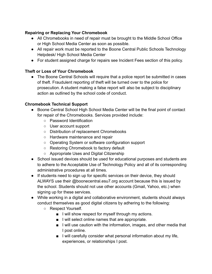# <span id="page-11-0"></span>**Repairing or Replacing Your Chromebook**

- All Chromebooks in need of repair must be brought to the Middle School Office or High School Media Center as soon as possible.
- All repair work must be reported to the Boone Central Public Schools Technology Helpdesk/ High School Media Center
- For student assigned charge for repairs see Incident Fees section of this policy.

# **Theft or Loss of Your Chromebook**

● The Boone Central Schools will require that a police report be submitted in cases of theft. Fraudulent reporting of theft will be turned over to the police for prosecution. A student making a false report will also be subject to disciplinary action as outlined by the school code of conduct.

# **Chromebook Technical Support**

- Boone Central School High School Media Center will be the final point of contact for repair of the Chromebooks. Services provided include:
	- Password Identification
	- User account support
	- Distribution of replacement Chromebooks
	- Hardware maintenance and repair
	- Operating System or software configuration support
	- Restoring Chromebook to factory default
	- Appropriate Uses and Digital Citizenship
- School issued devices should be used for educational purposes and students are to adhere to the Acceptable Use of Technology Policy and all of its corresponding administrative procedures at all times.
- If students need to sign up for specific services on their device, they should ALWAYS use their @boonecentral.esu7.org account because this is issued by the school. Students should not use other accounts (Gmail, Yahoo, etc.) when signing up for these services.
- While working in a digital and collaborative environment, students should always conduct themselves as good digital citizens by adhering to the following:
	- Respect Yourself.
		- I will show respect for myself through my actions.
		- I will select online names that are appropriate.
		- I will use caution with the information, images, and other media that I post online.
		- I will carefully consider what personal information about my life, experiences, or relationships I post.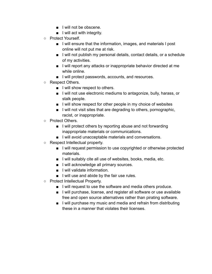- I will not be obscene.
- I will act with integrity.
- Protect Yourself.
	- I will ensure that the information, images, and materials I post online will not put me at risk.
	- I will not publish my personal details, contact details, or a schedule of my activities.
	- I will report any attacks or inappropriate behavior directed at me while online.
	- I will protect passwords, accounts, and resources.
- Respect Others.
	- I will show respect to others.
	- I will not use electronic mediums to antagonize, bully, harass, or stalk people.
	- I will show respect for other people in my choice of websites
	- I will not visit sites that are degrading to others, pornographic, racist, or inappropriate.
- Protect Others.
	- I will protect others by reporting abuse and not forwarding inappropriate materials or communications.
	- I will avoid unacceptable materials and conversations.
- Respect Intellectual property.
	- I will request permission to use copyrighted or otherwise protected materials.
	- I will suitably cite all use of websites, books, media, etc.
	- I will acknowledge all primary sources.
	- I will validate information.
	- I will use and abide by the fair use rules.
- Protect Intellectual Property.
	- I will request to use the software and media others produce.
	- I will purchase, license, and register all software or use available free and open source alternatives rather than pirating software.
	- I will purchase my music and media and refrain from distributing these in a manner that violates their licenses.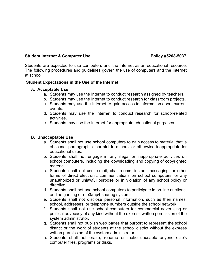#### **Student Internet & Computer Use <b>Policy #5208-5037**

Students are expected to use computers and the Internet as an educational resource. The following procedures and guidelines govern the use of computers and the Internet at school.

#### **Student Expectations in the Use of the Internet**

#### A. **Acceptable Use**

- a. Students may use the Internet to conduct research assigned by teachers.
- b. Students may use the Internet to conduct research for classroom projects.
- c. Students may use the Internet to gain access to information about current events.
- d. Students may use the Internet to conduct research for school-related activities.
- e. Students may use the Internet for appropriate educational purposes.

#### B. **Unacceptable Use**

- a. Students shall not use school computers to gain access to material that is obscene, pornographic, harmful to minors, or otherwise inappropriate for educational uses.
- b. Students shall not engage in any illegal or inappropriate activities on school computers, including the downloading and copying of copyrighted material.
- c. Students shall not use e-mail, chat rooms, instant messaging, or other forms of direct electronic communications on school computers for any unauthorized or unlawful purpose or in violation of any school policy or directive.
- d. Students shall not use school computers to participate in on-line auctions, on-line gaming or mp3/mp4 sharing systems.
- e. Students shall not disclose personal information, such as their names, school, addresses, or telephone numbers outside the school network.
- f. Students shall not use school computers for commercial advertising or political advocacy of any kind without the express written permission of the system administrator.
- g. Students shall not publish web pages that purport to represent the school district or the work of students at the school district without the express written permission of the system administrator.
- h. Students shall not erase, rename or make unusable anyone else's computer files, programs or disks.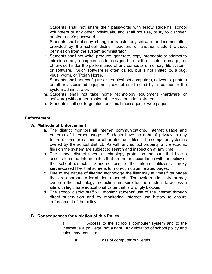- i. Students shall not share their passwords with fellow students, school volunteers or any other individuals, and shall not use, or try to discover, another user's password.
- j. Students shall not copy, change or transfer any software or documentation provided by the school district, teachers or another student without permission from the system administrator.
- k. Students shall not write, produce, generate, copy, propagate or attempt to introduce any computer code designed to self-replicate, damage, or otherwise hinder the performance of any computer's memory, file system, or software. Such software is often called, but is not limited to, a bug, virus, worm, or Trojan Horse.
- l. Students shall not configure or troubleshoot computers, networks, printers or other associated equipment, except as directed by a teacher or the system administrator.
- m. Students shall not take home technology equipment (hardware or software) without permission of the system administrator.
- n. Students shall not forge electronic mail messages or web pages.

# **Enforcement**

# **A. Methods of Enforcement**

- a. The district monitors all Internet communications, Internet usage and patterns of Internet usage. Students have no right of privacy to any Internet communications or other electronic files. The computer system is owned by the school district. As with any school property, any electronic files on the system are subject to search and inspection at any time.
- b. The school district uses a technology protection measure that blocks access to some Internet sites that are not in accordance with the policy of the school district. Standard use of the Internet utilizes a proxy server-based filter that screens for non-curriculum related pages.
- c. Due to the nature of filtering technology, the filter may at times filter pages that are appropriate for student research. The system administrator may override the technology protection measure for the student to access a site with legitimate educational value that is wrongly blocked.
- d. The school district staff will monitor students' use of the Internet through direct supervision and by monitoring Internet use history to ensure enforcement of the policy.

### B. **Consequences for Violation of this Policy**

1. Access to the school's computer system and to the Internet is a privilege, not a right. Any violation of school policy and rules may result in:

a. Loss of computer privileges;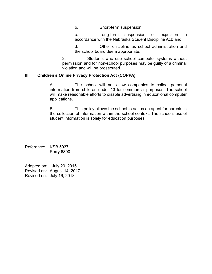b. Short-term suspension;

c. Long-term suspension or expulsion in accordance with the Nebraska Student Discipline Act; and

d. Other discipline as school administration and the school board deem appropriate.

2. Students who use school computer systems without permission and for non-school purposes may be guilty of a criminal violation and will be prosecuted.

#### III. **Children's Online Privacy Protection Act (COPPA)**

A. The school will not allow companies to collect personal information from children under 13 for commercial purposes. The school will make reasonable efforts to disable advertising in educational computer applications.

B. This policy allows the school to act as an agent for parents in the collection of information within the school context. The school's use of student information is solely for education purposes.

Reference: KSB 5037 Perry 6800

Adopted on: July 20, 2015 Revised on: August 14, 2017 Revised on: July 16, 2018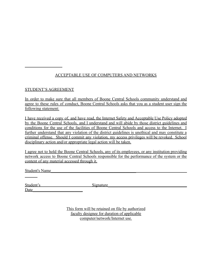# ACCEPTABLE USE OF COMPUTERS AND NETWORKS

#### STUDENT'S AGREEMENT

In order to make sure that all members of Boone Central Schools community understand and agree to these rules of conduct, Boone Central Schools asks that you as a student user sign the following statement:

I have received a copy of, and have read, the Internet Safety and Acceptable Use Policy adopted by the Boone Central Schools, and I understand and will abide by those district guidelines and conditions for the use of the facilities of Boone Central Schools and access to the Internet. I further understand that any violation of the district guidelines is unethical and may constitute a criminal offense. Should I commit any violation, my access privileges will be revoked. School disciplinary action and/or appropriate legal action will be taken.

I agree not to hold the Boone Central Schools, any of its employees, or any institution providing network access to Boone Central Schools responsible for the performance of the system or the content of any material accessed through it.

Student's Name

| Student's |  |  |
|-----------|--|--|
| Date      |  |  |

 $Signature$ 

This form will be retained on file by authorized faculty designee for duration of applicable computer/network/Internet use.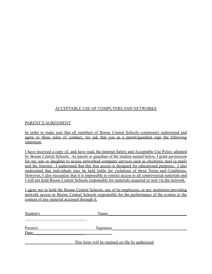# ACCEPTABLE USE OF COMPUTERS AND NETWORKS

#### PARENT'S AGREEMENT

In order to make sure that all members of Boone Central Schools community understand and agree to these rules of conduct, we ask that you as a parent/guardian sign the following statement:

I have received a copy of, and have read, the Internet Safety and Acceptable Use Policy adopted by Boone Central Schools. As parent or guardian of the student named below, I grant permission for my son or daughter to access networked computer services such as electronic mail (e-mail) and the Internet. I understand that this free access is designed for educational purposes. I also understand that individuals may be held liable for violations of those Terms and Conditions. However, I also recognize that it is impossible to restrict access to all controversial materials and I will not hold Boone Central Schools responsible for materials acquired or sent via the network.

I agree not to hold the Boone Central Schools, any of its employees, or any institution providing network access to Boone Central Schools responsible for the performance of the system or the content of any material accessed through it.

| Student's | Name                                             |  |
|-----------|--------------------------------------------------|--|
|           |                                                  |  |
| Parent's  | Signature                                        |  |
| Date:     |                                                  |  |
|           | This form will be retained on file by authorized |  |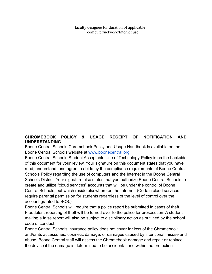# **CHROMEBOOK POLICY & USAGE RECEIPT OF NOTIFICATION AND UNDERSTANDING**

Boone Central Schools Chromebook Policy and Usage Handbook is available on the Boone Central Schools website at [www.boonecentral.org](http://www.boonecentral.org).

Boone Central Schools Student Acceptable Use of Technology Policy is on the backside of this document for your review. Your signature on this document states that you have read, understand, and agree to abide by the compliance requirements of Boone Central Schools Policy regarding the use of computers and the Internet in the Boone Central Schools District. Your signature also states that you authorize Boone Central Schools to create and utilize "cloud services" accounts that will be under the control of Boone Central Schools, but which reside elsewhere on the Internet. (Certain cloud services require parental permission for students regardless of the level of control over the account granted to BCS.)

Boone Central Schools will require that a police report be submitted in cases of theft. Fraudulent reporting of theft will be turned over to the police for prosecution. A student making a false report will also be subject to disciplinary action as outlined by the school code of conduct.

Boone Central Schools insurance policy does not cover for loss of the Chromebook and/or its accessories, cosmetic damage, or damages caused by intentional misuse and abuse. Boone Central staff will assess the Chromebook damage and repair or replace the device if the damage is determined to be accidental and within the protection